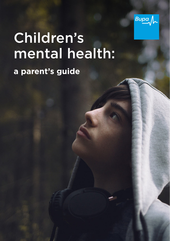

# Children's mental health:

### **a parent's guide**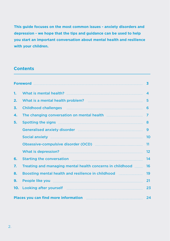**This guide focuses on the most common issues - anxiety disorders and depression - we hope that the tips and guidance can be used to help you start an important conversation about mental health and resilience with your children.**

### **Contents**

|                                                                                                                   |                                                                                                                                                                                                                                      | $\overline{\mathbf{3}}$ |
|-------------------------------------------------------------------------------------------------------------------|--------------------------------------------------------------------------------------------------------------------------------------------------------------------------------------------------------------------------------------|-------------------------|
| 1.                                                                                                                |                                                                                                                                                                                                                                      | $\boldsymbol{4}$        |
| 2.                                                                                                                |                                                                                                                                                                                                                                      | 5                       |
| 3.                                                                                                                | <b>Childhood challenges more constructed and childhood challenges more construction of the construction of the c</b>                                                                                                                 | 6                       |
| 4.                                                                                                                | The changing conversation on mental health [11] [11] The changing conversation on mental health                                                                                                                                      | 7                       |
| 5.                                                                                                                | Spotting the signs manufactured and spotting the signs manufactured and service of the signs manufactured and s                                                                                                                      | 8                       |
|                                                                                                                   | Generalised anxiety disorder manufactured and continuum and contained anxiety disorder manufactured and contain                                                                                                                      | 9                       |
|                                                                                                                   |                                                                                                                                                                                                                                      | 10                      |
|                                                                                                                   | Obsessive-compulsive disorder (OCD) manual manusure community of the CDS                                                                                                                                                             | 11                      |
|                                                                                                                   |                                                                                                                                                                                                                                      | $12 \overline{ }$       |
| 6.                                                                                                                | Starting the conversation <b>Election Election Election Election Election Election Election Election Election Election Election Election Election Election Election Election Election Election</b>                                   | 14                      |
| 7.                                                                                                                | Treating and managing mental health concerns in childhood                                                                                                                                                                            | 16                      |
| 8.                                                                                                                | Boosting mental health and resilience in childhood manumons.                                                                                                                                                                         | 19                      |
| 9.                                                                                                                | People like you manufactured and the you                                                                                                                                                                                             | 21                      |
| 10 <sub>1</sub>                                                                                                   | Looking after yourself <b>Election Contract Contract Contract Contract Contract Contract Contract Contract Contract Contract Contract Contract Contract Contract Contract Contract Contract Contract Contract Contract Contract </b> | 23                      |
| Places you can find more information <b>Election Contract Contract Places</b> you can find more information<br>24 |                                                                                                                                                                                                                                      |                         |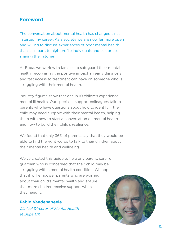### **Foreword**

The conversation about mental health has changed since I started my career. As a society we are now far more open and willing to discuss experiences of poor mental health thanks, in part, to high profile individuals and celebrities sharing their stories.

At Bupa, we work with families to safeguard their mental health, recognising the positive impact an early diagnosis and fast access to treatment can have on someone who is struggling with their mental health.

Industry figures show that one in 10 children experience mental ill health. Our specialist support colleagues talk to parents who have questions about how to identify if their child may need support with their mental health, helping them with how to start a conversation on mental health and how to build their child's resilience.

We found that only 36% of parents say that they would be able to find the right words to talk to their children about their mental health and wellbeing.

We've created this guide to help any parent, carer or guardian who is concerned that their child may be struggling with a mental health condition. We hope that it will empower parents who are worried about their child's mental health and ensure that more children receive support when they need it.

### **Pablo Vandenabeele**

*Clinical Director of Mental Health at Bupa UK* 

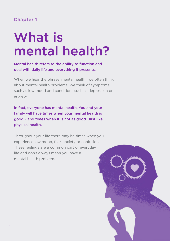# What is mental health?

### Mental health refers to the ability to function and deal with daily life and everything it presents.

When we hear the phrase 'mental health', we often think about mental health problems. We think of symptoms such as low mood and conditions such as depression or anxiety.

In fact, everyone has mental health. You and your family will have times when your mental health is good – and times when it is not as good. Just like physical health.

Throughout your life there may be times when you'll experience low mood, fear, anxiety or confusion. These feelings are a common part of everyday life and don't always mean you have a mental health problem.

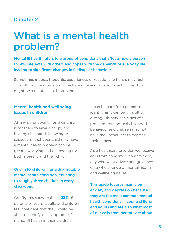## What is a mental health problem?

Mental ill health refers to a group of conditions that affects how a person thinks, interacts with others and copes with the demands of everyday life, leading to significant changes in feelings or behaviour.

Sometimes moods, thoughts, experiences or reactions to things may feel difficult for a long time and affect your life and how you want to live. This might be a mental health problem.

### **Mental health and wellbeing issues in children**

All any parent wants for their child is for them to have a happy and healthy childhood. Knowing or suspecting that your child may have a mental health problem can be greatly worrying and distressing for both a parent and their child.

### One in 10 children has a diagnosable mental health condition, equating to roughly three children in every classroom.

Our figures show that just **23%** of parents of young adults and children feel confident that they would be able to identify the symptoms of mental ill health in their children.

It can be hard for a parent to identify as it can be difficult to distinguish between signs of a problem from normal childhood behaviour and children may not have the vocabulary to express their concerns.

As a healthcare provider, we receive calls from concerned parents every day who want advice and guidance on a whole range of mental health and wellbeing issues.

This guide focuses mainly on anxiety and depression because they are the most common mental health conditions in young children and adults and are also what most of our calls from parents are about.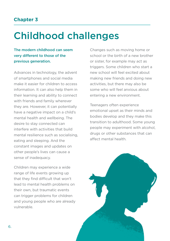# Childhood challenges

The modern childhood can seem very different to those of the previous generation.

Advances in technology, the advent of smartphones and social media make it easier for children to access information. It can also help them in their learning and ability to connect with friends and family wherever they are. However, it can potentially have a negative impact on a child's mental health and wellbeing. The desire to stay connected can interfere with activities that build mental resilience such as socialising, eating and sleeping. And the constant images and updates on other people's lives can cause a sense of inadequacy.

Children may experience a wide range of life events growing up that they find difficult that won't lead to mental health problems on their own, but traumatic events can trigger problems for children and young people who are already vulnerable.

Changes such as moving home or school or the birth of a new brother or sister, for example may act as triggers. Some children who start a new school will feel excited about making new friends and doing new activities, but there may also be some who will feel anxious about entering a new environment.

Teenagers often experience emotional upset as their minds and bodies develop and they make this transition to adulthood. Some young people may experiment with alcohol, drugs or other substances that can affect mental health.

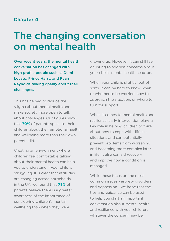## The changing conversation on mental health

Over recent years, the mental health conversation has changed with high profile people such as Demi Lovato, Prince Harry, and Ryan Reynolds talking openly about their challenges.

This has helped to reduce the stigma about mental health and make society more open to talk about challenges. Our figures show that **70%** of parents speak to their children about their emotional health and wellbeing more than their own parents did.

Creating an environment where children feel comfortable talking about their mental health can help you to understand if your child is struggling. It is clear that attitudes are changing across households in the UK, we found that **78%** of parents believe there is a greater awareness of the importance of considering children's mental wellbeing than when they were

growing up. However, it can still feel daunting to address concerns about your child's mental health head-on.

When your child is slightly 'out of sorts' it can be hard to know when or whether to be worried, how to approach the situation, or where to turn for support.

When it comes to mental health and resilience, early intervention plays a key role in helping children to think about how to cope with difficult situations and can potentially prevent problems from worsening and becoming more complex later in life. It also can aid recovery and improve how a condition is managed.

While these focus on the most common issues - anxiety disorders and depression - we hope that the tips and guidance can be used to help you start an important conversation about mental health and resilience with your children, whatever the concern may be.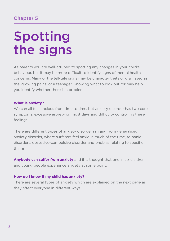# Spotting the signs

As parents you are well-attuned to spotting any changes in your child's behaviour, but it may be more difficult to identify signs of mental health concerns. Many of the tell-tale signs may be character traits or dismissed as the 'growing pains' of a teenager. Knowing what to look out for may help you identify whether there is a problem.

### **What is anxiety?**

We can all feel anxious from time to time, but anxiety disorder has two core symptoms: excessive anxiety on most days and difficulty controlling these feelings.

There are different types of anxiety disorder ranging from generalised anxiety disorder, where sufferers feel anxious much of the time, to panic disorders, obsessive-compulsive disorder and phobias relating to specific things.

**Anybody can suffer from anxiety** and it is thought that one in six children and young people experience anxiety at some point.

### **How do I know if my child has anxiety?**

There are several types of anxiety which are explained on the next page as they affect everyone in different ways.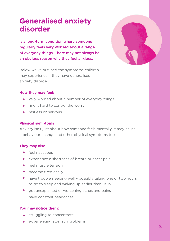### **Generalised anxiety disorder**

is a long-term condition where someone regularly feels very worried about a range of everyday things. There may not always be an obvious reason why they feel anxious.



### **How they may feel:**

- very worried about a number of everyday things
- $\bullet$  find it hard to control the worry
- **a** restless or nervous

#### **Physical symptoms**

Anxiety isn't just about how someone feels mentally, it may cause a behaviour change and other physical symptoms too.

#### **They may also:**

- **•** feel nauseous
- experience a shortness of breath or chest pain
- feel muscle tension
- become tired easily
- have trouble sleeping well possibly taking one or two hours to go to sleep and waking up earlier than usual
- **•** get unexplained or worsening aches and pains have constant headaches

- **struggling to concentrate**
- experiencing stomach problems

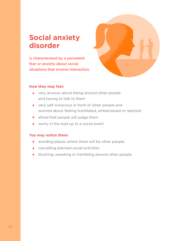### **Social anxiety disorder**

is characterised by a persistent fear or anxiety about social situations that involve interaction.



#### **How they may feel:**

- very anxious about being around other people and having to talk to them
- very self-conscious in front of other people and worried about feeling humiliated, embarrassed or rejected
- **•** afraid that people will judge them
- worry in the lead up to a social event

- avoiding places where there will be other people
- **•** cancelling planned social activities
- **•** blushing, sweating or trembling around other people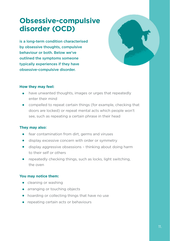### **Obsessive-compulsive disorder (OCD)**

is a long-term condition characterised by obsessive thoughts, compulsive behaviour or both. Below we've outlined the symptoms someone typically experiences if they have obsessive-compulsive disorder.



### **How they may feel:**

- have unwanted thoughts, images or urges that repeatedly enter their mind
- compelled to repeat certain things (for example, checking that doors are locked) or repeat mental acts which people won't see, such as repeating a certain phrase in their head

### **They may also:**

- **•** fear contamination from dirt, germs and viruses
- display excessive concern with order or symmetry  $\bullet$
- display aggressive obsessions thinking about doing harm to their self or others
- repeatedly checking things, such as locks, light switching, the oven

- cleaning or washing
- **•** arranging or touching objects
- hoarding or collecting things that have no use
- repeating certain acts or behaviours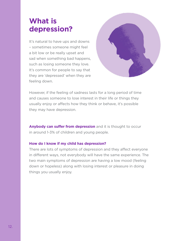### **What is depression?**

It's natural to have ups and downs – sometimes someone might feel a bit low or be really upset and sad when something bad happens, such as losing someone they love. It's common for people to say that they are 'depressed' when they are feeling down.



However, if the feeling of sadness lasts for a long period of time and causes someone to lose interest in their life or things they usually enjoy or affects how they think or behave, it's possible they may have depression.

**Anybody can suffer from depression** and it is thought to occur in around 1-3% of children and young people.

### **How do I know if my child has depression?**

There are lots of symptoms of depression and they affect everyone in different ways, not everybody will have the same experience. The two main symptoms of depression are having a low mood (feeling down or hopeless) along with losing interest or pleasure in doing things you usually enjoy.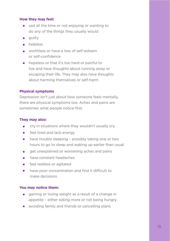### **How they may feel:**

- sad all the time or not enjoying or wanting to do any of the things they usually would
- **•** quilty
- helpless
- worthless or have a loss of self-esteem or self-confidence
- hopeless or that it's too hard or painful to live and have thoughts about running away or escaping their life. They may also have thoughts about harming themselves or self-harm

### **Physical symptoms**

Depression isn't just about how someone feels mentally, there are physical symptoms too. Aches and pains are sometimes what people notice first.

### **They may also:**

- cry in situations where they wouldn't usually cry  $\bullet$
- feel tired and lack energy
- $\bullet$ have trouble sleeping – possibly taking one or two hours to go to sleep and waking up earlier than usual
- get unexplained or worsening aches and pains  $\bullet$
- have constant headaches  $\bullet$
- feel restless or agitated  $\bullet$
- have poor concentration and find it difficult to  $\bullet$ make decisions

- gaining or losing weight as a result of a change in appetite – either eating more or not being hungry
- avoiding family and friends or cancelling plans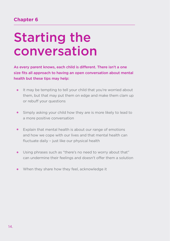# Starting the conversation

As every parent knows, each child is different. There isn't a one size fits all approach to having an open conversation about mental health but these tips may help:

- It may be tempting to tell your child that you're worried about them, but that may put them on edge and make them clam up or rebuff your questions
- Simply asking your child how they are is more likely to lead to a more positive conversation
- Explain that mental health is about our range of emotions and how we cope with our lives and that mental health can fluctuate daily – just like our physical health
- Using phrases such as "there's no need to worry about that" can undermine their feelings and doesn't offer them a solution
- When they share how they feel, acknowledge it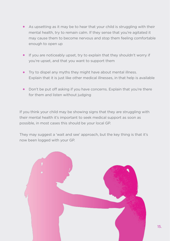- As upsetting as it may be to hear that your child is struggling with their mental health, try to remain calm. If they sense that you're agitated it may cause them to become nervous and stop them feeling comfortable enough to open up
- If you are noticeably upset, try to explain that they shouldn't worry if you're upset, and that you want to support them
- **•** Try to dispel any myths they might have about mental illness. Explain that it is just like other medical illnesses, in that help is available
- Don't be put off asking if you have concerns. Explain that you're there for them and listen without judging

If you think your child may be showing signs that they are struggling with their mental health it's important to seek medical support as soon as possible, in most cases this should be your local GP.

They may suggest a 'wait and see' approach, but the key thing is that it's now been logged with your GP.

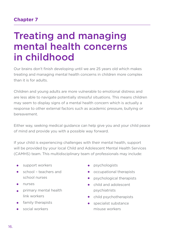## Treating and managing mental health concerns in childhood

Our brains don't finish developing until we are 25 years old which makes treating and managing mental health concerns in children more complex than it is for adults.

Children and young adults are more vulnerable to emotional distress and are less able to navigate potentially stressful situations. This means children may seem to display signs of a mental health concern which is actually a response to other external factors such as academic pressure, bullying or bereavement.

Either way, seeking medical guidance can help give you and your child peace of mind and provide you with a possible way forward.

If your child is experiencing challenges with their mental health, support will be provided by your local Child and Adolescent Mental Health Services (CAMHS) team. This multidisciplinary team of professionals may include:

- **•** support workers
- $\bullet$ school – teachers and school nurses
- nurses
- **primary mental health** link workers
- **family therapists**
- **social workers**
- **•** psychologists
- occupational therapists
- psychological therapists
- $\bullet$ child and adolescent psychiatrists
- child psychotherapists
- specialist substance misuse workers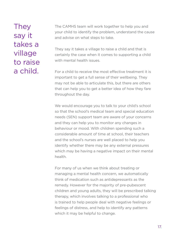### **They** say it takes a village to raise a child.

The CAMHS team will work together to help you and your child to identify the problem, understand the cause and advise on what steps to take.

They say it takes a village to raise a child and that is certainly the case when it comes to supporting a child with mental health issues.

For a child to receive the most effective treatment it is important to get a full sense of their wellbeing. They may not be able to articulate this, but there are others that can help you to get a better idea of how they fare throughout the day.

We would encourage you to talk to your child's school so that the school's medical team and special education needs (SEN) support team are aware of your concerns and they can help you to monitor any changes in behaviour or mood. With children spending such a considerable amount of time at school, their teachers and the school's nurses are well placed to help you identify whether there may be any external pressures which may be having a negative impact on their mental health.

For many of us when we think about treating or managing a mental health concern, we automatically think of medication such as antidepressants as the remedy. However for the majority of pre-pubescent children and young adults, they will be prescribed talking therapy, which involves talking to a professional who is trained to help people deal with negative feelings or feelings of distress, and help to identify any patterns which it may be helpful to change.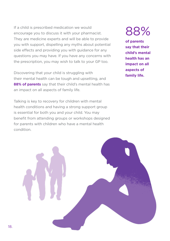If a child is prescribed medication we would encourage you to discuss it with your pharmacist. They are medicine experts and will be able to provide you with support, dispelling any myths about potential side effects and providing you with guidance for any questions you may have. If you have any concerns with the prescription, you may wish to talk to your GP too.

Discovering that your child is struggling with their mental health can be tough and upsetting, and **88% of parents** say that their child's mental health has an impact on all aspects of family life.

Talking is key to recovery for children with mental health conditions and having a strong support group is essential for both you and your child. You may benefit from attending groups or workshops designed for parents with children who have a mental health condition.

88%

**of parents say that their child's mental health has an impact on all aspects of family life.** 

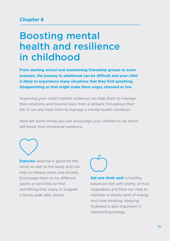## Boosting mental health and resilience in childhood

**From starting school and maintaining friendship groups to exam pressure, the journey to adulthood can be difficult and your child is likely to experience many situations that they find upsetting, disappointing or that might make them angry, stressed or low.** 

Improving your child's mental resilience can help them to manage their emotions and bounce back from a setback throughout their life. It can also help them to manage a mental health condition.

Here are some things you can encourage your children to do which will boost their emotional resilience.



**Exercise:** exercise is good for the mind, as well as the body, and can help to release stress and anxiety. Encourage them to try different sports or activities to find something they enjoy or suggest a family walk after dinner.

**Eat and drink well:** a healthy, balanced diet with plenty of fruit, vegetables and fibre can help to maintain a steady level of energy and clear thinking. Keeping hydrated is also important in maintaining energy.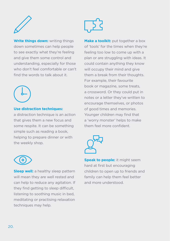

**Write things down:** writing things down sometimes can help people to see exactly what they're feeling and give them some control and understanding, especially for those who don't feel comfortable or can't find the words to talk about it.



#### **Use distraction techniques:**

a distraction technique is an action that gives them a new focus and some respite. It can be something simple such as reading a book, helping to prepare dinner or with the weekly shop.



**Sleep well:** a healthy sleep pattern will mean they are well rested and can help to reduce any agitation. If they find getting to sleep difficult, listening to soothing music in bed, meditating or practising relaxation techniques may help.



**Make a toolkit:** put together a box of 'tools' for the times when they're feeling too low to come up with a plan or are struggling with ideas. It could contain anything they know will occupy their mind and give them a break from their thoughts. For example, their favourite book or magazine, some treats, a crossword. Or they could put in notes or a letter they've written to encourage themselves, or photos of good times and memories. Younger children may find that a 'worry monster' helps to make them feel more confident.



**Speak to people:** it might seem hard at first but encouraging children to open up to friends and family can help them feel better and more understood.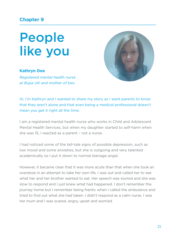# People like you

### **Kathryn Dee**

*Registered mental health nurse at Bupa UK and mother of two*



Hi, I'm Kathryn and I wanted to share my story as I want parents to know that they aren't alone and that even being a medical professional doesn't mean you get it right all the time.

I am a registered mental health nurse who works in Child and Adolescent Mental Health Services, but when my daughter started to self-harm when she was 15, I reacted as a parent – not a nurse.

I had noticed some of the tell-tale signs of possible depression, such as low mood and some anxieties, but she is outgoing and very talented academically so I put it down to normal teenage angst.

However, it became clear that it was more acute than that when she took an overdose in an attempt to take her own life. I was out and called her to see what her and her brother wanted to eat. Her speech was slurred and she was slow to respond and I just knew what had happened. I don't remember the journey home but I remember being frantic when I called the ambulance and tried to find out what she had taken. I didn't respond as a calm nurse. I was her mum and I was scared, angry, upset and worried.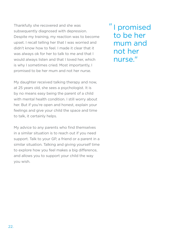Thankfully she recovered and she was subsequently diagnosed with depression. Despite my training, my reaction was to become upset. I recall telling her that I was worried and didn't know how to feel. I made it clear that it was always ok for her to talk to me and that I would always listen and that I loved her, which is why I sometimes cried. Most importantly, I promised to be her mum and not her nurse.

My daughter received talking therapy and now. at 25 years old, she sees a psychologist. It is by no means easy being the parent of a child with mental health condition. I still worry about her. But if you're open and honest, explain your feelings and give your child the space and time to talk, it certainly helps.

My advice to any parents who find themselves in a similar situation is to reach out if you need support. Talk to your GP, a friend or a parent in a similar situation. Talking and giving yourself time to explore how you feel makes a big difference, and allows you to support your child the way you wish.

" I promised to be her mum and not her nurse."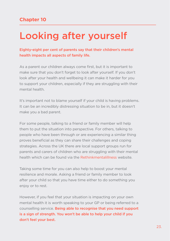# Looking after yourself

### Eighty-eight per cent of parents say that their children's mental health impacts all aspects of family life.

As a parent our children always come first, but it is important to make sure that you don't forget to look after yourself. If you don't look after your health and wellbeing it can make it harder for you to support your children, especially if they are struggling with their mental health.

It's important not to blame yourself if your child is having problems. It can be an incredibly distressing situation to be in, but it doesn't make you a bad parent.

For some people, talking to a friend or family member will help them to put the situation into perspective. For others, talking to people who have been through or are experiencing a similar thing proves beneficial as they can share their challenges and coping strategies. Across the UK there are local support groups run for parents and carers of children who are struggling with their mental health which can be found via the [Rethinkmentalillness](https://www.rethink.org/about-us/our-support-groups) website.

Taking some time for you can also help to boost your mental resilience and morale. Asking a friend or family member to look after your child so that you have time either to do something you enjoy or to rest.

However, if you feel that your situation is impacting on your own mental health it is worth speaking to your GP or being referred to a counselling service. Being able to recognise that you need support is a sign of strength. You won't be able to help your child if you don't feel your best.